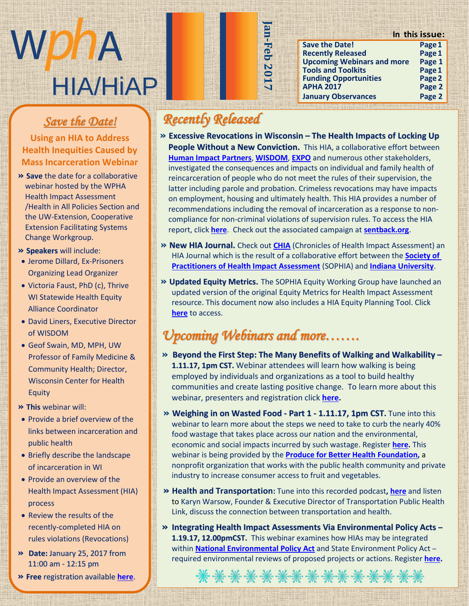# WDDA HIA/HiAP

#### $\frac{1}{\sqrt{1-\frac{1}{\sqrt{1-\frac{1}{\sqrt{1-\frac{1}{\sqrt{1-\frac{1}{\sqrt{1-\frac{1}{\sqrt{1-\frac{1}{\sqrt{1-\frac{1}{\sqrt{1-\frac{1}{\sqrt{1-\frac{1}{\sqrt{1-\frac{1}{\sqrt{1-\frac{1}{\sqrt{1-\frac{1}{\sqrt{1-\frac{1}{\sqrt{1-\frac{1}{\sqrt{1-\frac{1}{\sqrt{1-\frac{1}{\sqrt{1-\frac{1}{\sqrt{1-\frac{1}{\sqrt{1-\frac{1}{\sqrt{1-\frac{1}{\sqrt{1-\frac{1}{\sqrt{1-\frac{1}{\sqrt{1-\frac{1}{\sqrt{1-\frac{1$  $\frac{1}{100}$   $\frac{1}{100}$ *Save the Date!*

Using an HIA to Address<br>calth Inconsities Caused b **Mass Incarceration Webinar Health Inequities Caused by** 

- **» Save** the date for a collaborative webinar hosted by the WPHA Health Impact Assessment *THE EXPRESS FOR EXAMPLE*<br>Health in All Policies Section and mental means of the contracts of the UW-Extension, Cooperative are on Extension, ecoperant **Change Workgroup.** r e s p o n s i b l e f o r
- **» Speakers** will include:
- Jerome Dillard, Ex-Prisoners Organizing Lead Organizer
- Victoria Faust, PhD (c), Thrive WI Statewide Health Equity Alliance Coordinator
- $A<sub>0</sub>$  and the U S to the unit of  $\overline{a}$ • David Liners, Executive Director of WISDOM
- Geof Swain, MD, MPH, UW Professor of Family Medicine & Community Health; Director, t community meating biffed to Wisconsin Center for Health D i v i s i o n o f P u b l i c Equity
- **» This** webinar will:
- Provide a brief overview of the n e viac a sincreventen en a links between incarceration and public health i v e r s i n s i n s i n s i n s i n s i n s i n s i n s i n s i n s i n s i n s i n s i n s i n
- $\bullet$  Briefly describe the landscape of incarceration in WI
- $\bullet$  Provide an overview of the Health Impact Assessment (HIA Health Impact Assessment (HIA) h e r g r e a t r i b u t r i b u t i o n t r i o n t r i o n t r i o n t r i o n t r i o n t r i o n t r i o process
- Review the results of the recently-completed HIA on rules violations (Revocations)
- $\mathsf{R}_{\text{c}}$  r e  $\mathsf{R}_{\text{c}}$  . G  $\mathsf{R}_{\text{c}}$  and  $\mathsf{R}_{\text{c}}$  . G of  $\mathsf{R}_{\text{c}}$  and  $\mathsf{R}_{\text{c}}$  . G  $\mathsf{R}_{\text{c}}$ **»** Date: January 25, 2017 from 11:00 am - 12:15 pm
- **» Free** registration available **[here](https://wipha.site-ym.com/events/EventDetails.aspx?id=899316.)**.

### *Recently Released*

**» Excessive Revocations in Wisconsin – The Health Impacts of Locking Up People Without a New Conviction.** This HIA, a collaborative effort between **[Human Impact Partners](http://www.humanimpact.org/)**, **[WISDOM](http://wisdomwisconsin.org/)**, **[EXPO](http://www.rocwisconsin.org/our-work/expo/)** and numerous other stakeholders, investigated the consequences and impacts on individual and family health of reincarceration of people who do not meet the rules of their supervision, the latter including parole and probation. Crimeless revocations may have impacts on employment, housing and ultimately health. This HIA provides a number of recommendations including the removal of incarceration as a response to noncompliance for non-criminal violations of supervision rules. To access the HIA report, click **[here](http://www.humanimpact.org/wp-content/uploads/Report_ExcessiveRevocationsWI_2016.12.pdf)**. Check out the associated campaign at **[sentback.org](http://sentback.org/)**.

**Jan-Feb 2017**

an-Feb 2017

- **» New HIA Journal.** Check out **[CHIA](https://journals.iupui.edu/index.php/chia/issue/view/1239?hd&utm_campaign=2016-12-14+HIP&utm_medium=email&utm_source=Pew)** (Chronicles of Health Impact Assessment) an HIA Journal which is the result of a collaborative effort between the **[Society of](https://sophia.wildapricot.org/)  [Practitioners of Health Impact Assessment](https://sophia.wildapricot.org/)** (SOPHIA) and **[Indiana University](https://www.indiana.edu/)**.
- **» Updated Equity Metrics.** The SOPHIA Equity Working Group have launched an updated version of the original Equity Metrics for Health Impact Assessment resource. This document now also includes a HIA Equity Planning Tool. Click **[here](http://www.humanimpact.org/wp-content/uploads/SOPHIA_EquityMetricsV2_2016.11.pdf)** to access.

## *Upcoming Webinars and more…….*

- **» Beyond the First Step: The Many Benefits of Walking and Walkability – 1.11.17, 1pm CST.** Webinar attendees will learn how walking is being employed by individuals and organizations as a tool to build healthy communities and create lasting positive change. To learn more about this webinar, presenters and registration click **[here.](http://americawalks.org/new-webinar-beyond-the-first-step-the-many-benefits-of-walking-and-walkability-january-11th-2017/)**
- **» Weighing in on Wasted Food - Part 1 - 1.11.17, 1pm CST.** Tune into this webinar to learn more about the steps we need to take to curb the nearly 40% food wastage that takes place across our nation and the environmental, economic and social impacts incurred by such wastage. Register **[here.](http://www.pbhfoundation.org/pub_sec/webinars/)** This webinar is being provided by the **[Produce for Better Health](http://www.pbhfoundation.org/) Foundation,** a nonprofit organization that works with the public health community and private industry to increase consumer access to fruit and vegetables.
- **» Health and Transportation:** Tune into this recorded podcast**[, here](https://transportationradio.wordpress.com/2016/11/22/health-and-transportation-with-karyn-warsow/)** and listen to Karyn Warsow, Founder & Executive Director of Transportation Public Health Link, discuss the connection between transportation and health.
- **» Integrating Health Impact Assessments Via Environmental Policy Acts – 1.19.17, 12.00pmCST.** This webinar examines how HIAs may be integrated within **[National Environmental Policy Act](https://www.epa.gov/nepa)** and State Environment Policy Act – required environmental reviews of proposed projects or actions. Register **[here.](https://networkforphl.webex.com/mw3100/mywebex/default.do?nomenu=true&siteurl=networkforphl&service=6&rnd=0.016377922961770097&main_url=https%3A%2F%2Fnetworkforphl.webex.com%2Fec3100%2Feventcenter%2Fevent%2FeventAction.do%3FtheAction%3Ddetail%26%26%26EMK%3D4832534b000000026b8cff5c81d22e69f17e5567d55880adde7d6e30ddbc3e68810eef8d91140337%26siteurl%3Dnetworkforphl%26confViewID%3D1758603292%26encryptTicket%3DSDJTSwAAAAKCR6cO3OI2DrmtValw_ua_DtfS0ouddFVb8_LCWv6hmw2%26)**

\*\*\*\*\*\*\*\*\*\*\*\*\*\*\*

#### **In this issue: Save the Date! Page1**

| JAVL LIIL DALLI                   | $rac{1}{2}$ |
|-----------------------------------|-------------|
| <b>Recently Released</b>          | Page 1      |
| <b>Upcoming Webinars and more</b> | Page 1      |
| <b>Tools and Toolkits</b>         | Page 1      |
| <b>Funding Opportunities</b>      | Page 2      |
| <b>APHA 2017</b>                  | Page 2      |
| <b>January Observances</b>        | Page 2      |
|                                   |             |